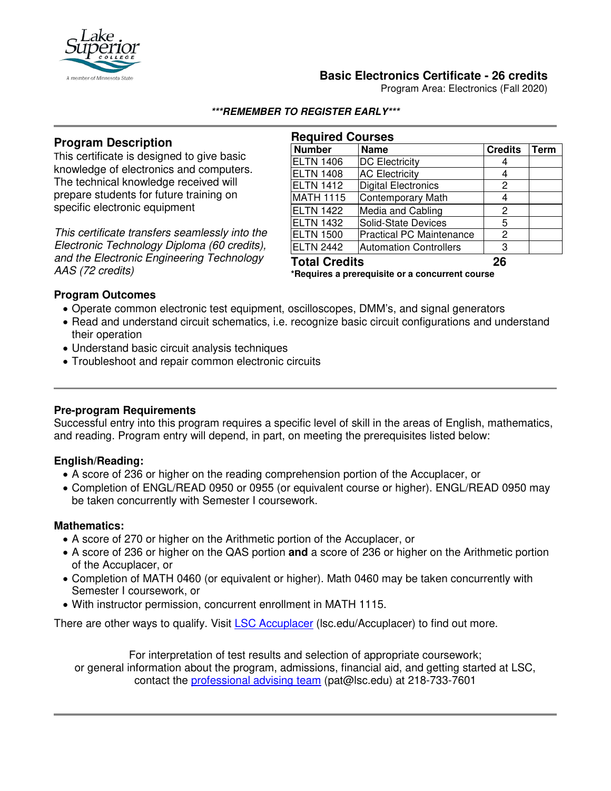

## **Basic Electronics Certificate - 26 credits**

Program Area: Electronics (Fall 2020)

#### **\*\*\*REMEMBER TO REGISTER EARLY\*\*\***

# **Program Description**

This certificate is designed to give basic knowledge of electronics and computers. The technical knowledge received will prepare students for future training on specific electronic equipment

*This certificate transfers seamlessly into the Electronic Technology Diploma (60 credits), and the Electronic Engineering Technology AAS (72 credits)*

| <b>Required Courses</b>                         |                                 |                |      |
|-------------------------------------------------|---------------------------------|----------------|------|
| <b>Number</b>                                   | <b>Name</b>                     | <b>Credits</b> | Term |
| <b>ELTN 1406</b>                                | <b>DC Electricity</b>           | 4              |      |
| <b>ELTN 1408</b>                                | <b>AC Electricity</b>           | 4              |      |
| <b>ELTN 1412</b>                                | Digital Electronics             | 2              |      |
| <b>MATH 1115</b>                                | Contemporary Math               | 4              |      |
| <b>ELTN 1422</b>                                | Media and Cabling               | 2              |      |
| <b>ELTN 1432</b>                                | Solid-State Devices             | 5              |      |
| <b>ELTN 1500</b>                                | <b>Practical PC Maintenance</b> | 2              |      |
| <b>ELTN 2442</b>                                | Automation Controllers          | 3              |      |
| <b>Total Credits</b>                            |                                 | 26             |      |
| *Requires a prerequisite or a concurrent course |                                 |                |      |

#### **Program Outcomes**

- Operate common electronic test equipment, oscilloscopes, DMM's, and signal generators
- Read and understand circuit schematics, i.e. recognize basic circuit configurations and understand their operation
- Understand basic circuit analysis techniques
- Troubleshoot and repair common electronic circuits

#### **Pre-program Requirements**

Successful entry into this program requires a specific level of skill in the areas of English, mathematics, and reading. Program entry will depend, in part, on meeting the prerequisites listed below:

## **English/Reading:**

- A score of 236 or higher on the reading comprehension portion of the Accuplacer, or
- Completion of ENGL/READ 0950 or 0955 (or equivalent course or higher). ENGL/READ 0950 may be taken concurrently with Semester I coursework.

#### **Mathematics:**

- A score of 270 or higher on the Arithmetic portion of the Accuplacer, or
- A score of 236 or higher on the QAS portion **and** a score of 236 or higher on the Arithmetic portion of the Accuplacer, or
- Completion of MATH 0460 (or equivalent or higher). Math 0460 may be taken concurrently with Semester I coursework, or
- With instructor permission, concurrent enrollment in MATH 1115.

There are other ways to qualify. Visit **[LSC Accuplacer](https://www.lsc.edu/accuplacer/)** (Isc.edu/Accuplacer) to find out more.

For interpretation of test results and selection of appropriate coursework; or general information about the program, admissions, financial aid, and getting started at LSC, contact the [professional advising team](mailto:pat@lsc.edu) (pat@lsc.edu) at 218-733-7601